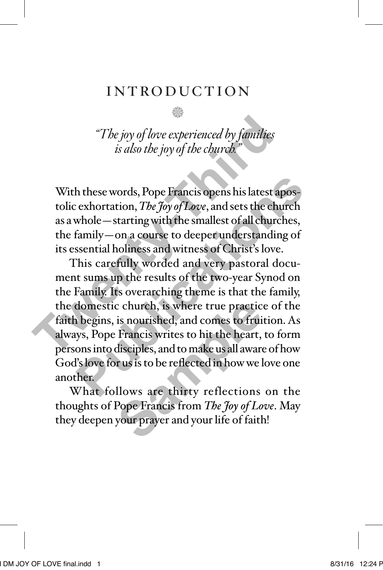# introduction

n

*"The joy of love experienced by families is also the joy of the church."*

With these words, Pope Francis opens his latest apostolic exhortation, *The Joy of Love*, and sets the church as a whole—starting with the smallest of all churches, the family—on a course to deeper understanding of its essential holiness and witness of Christ's love.

This carefully worded and very pastoral document sums up the results of the two-year Synod on the Family. Its overarching theme is that the family, the domestic church, is where true practice of the faith begins, is nourished, and comes to fruition. As always, Pope Francis writes to hit the heart, to form persons into disciples, and to make us all aware of how God's love for us is to be reflected in how we love one another. *The joy of love experienced by families*<br>*is also the joy of the church.*<br>**The summer is also that the smallest component of the contraction,**  $\text{The } \frac{F}{f}$  and set is the church as a whole — starting with the smallest h these words, Pope Francis opens his latest apos-<br>
exhortation, *The Joy of Love*, and sets the church<br>
whole—starting with the smallest of all churches,<br>
family—on a course to deeper understanding of<br>
ssential holiness a c church, is where true practic<br>is nourished, and comes to frui<br>Francis writes to hit the heart,<br>disciples, and to make us all aware<br>rus is to be reflected in how we l<br>llows are thirty reflections<br>Pope Francis from *The Jo* 

What follows are thirty reflections on the thoughts of Pope Francis from *The Joy of Love*. May they deepen your prayer and your life of faith!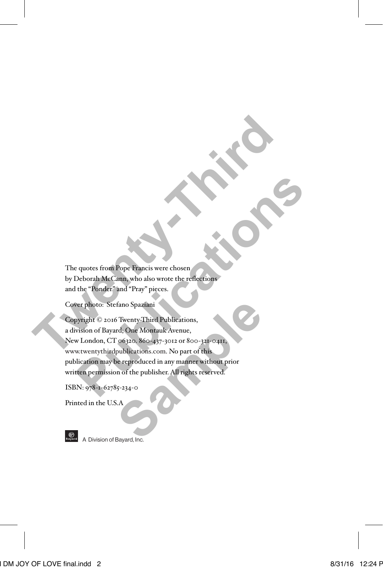The quotes from Pope Francis were chosen by Deborah McCann, who also wrote the reflections and the "Ponder" and "Pray" pieces.

Cover photo: Stefano Spaziani

Copyright © 2016 Twenty-Third Publications, a division of Bayard; One Montauk Avenue, New London, CT 06320. 860-437-3012 or 800-321-0411, www.twentythirdpublications.com. No part of this publication may be reproduced in any manner without prior written permission of the publisher. All rights reserved. The quotes from Pope Francis were chosen<br>by Deborah McCann, who also wrote the reflections<br>and the "Ponder" and "Pray" pieces.<br>Cover photo: Stefano Spaziani<br>Copyright © 2016 Twenty-Third Publications,<br>a division of Bayard, e quotes from Pope Francis were chosen<br>Deborah McCann, who also wrote the reflections<br>the "Ponder" and "Pray" pieces.<br>For photo: Stefano Spaziani<br>wright © 2016 Twenty-Third Publications,<br>wison of Bayard; One Montauk Avenue Fano Spaziani<br>
S Twenty-Third Publications,<br>
rd; One Montauk Avenue,<br>
co6320, 860-437-3012 or 800-321-0411,<br>
publications.com. No part of this<br>
publications.com. No part of this<br>
se reproduced in any manner without prior<br>

ISBN: 978-1-62785-234-0

Printed in the U.S.A



**A** Division of Bayard, Inc.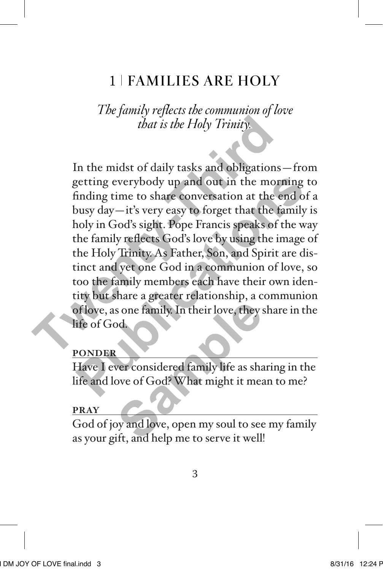# 1 FAMILIES ARE HOLY

*The family reflects the communion of love that is the Holy Trinity.*

In the midst of daily tasks and obligations—from getting everybody up and out in the morning to finding time to share conversation at the end of a busy day—it's very easy to forget that the family is holy in God's sight. Pope Francis speaks of the way the family reflects God's love by using the image of the Holy Trinity. As Father, Son, and Spirit are distinct and yet one God in a communion of love, so too the family members each have their own identity but share a greater relationship, a communion of love, as one family. In their love, they share in the life of God. *that is the Holy Trinity.*<br>
In the midst of daily tasks and obligations-<br>
getting everybody up and out in the mort<br>
finding time to share conversation at the end<br>
busy day—it's very easy to forget that the fa<br>
holy in God published the morning to share conversation at the morning to finding time to share conversation at the end of a busy day—it's very easy to forget that the family is noly in God's sight. Pope Francis speaks of the way the s one family. In their love, they<br>be considered family life as shaped to the state of God? What might it means<br>by and love, open my soul to see if the state of the state of the set of the state of the state of the state of

#### **PONDER**

Have I ever considered family life as sharing in the life and love of God? What might it mean to me?

#### **PRAY**

God of joy and love, open my soul to see my family as your gift, and help me to serve it well!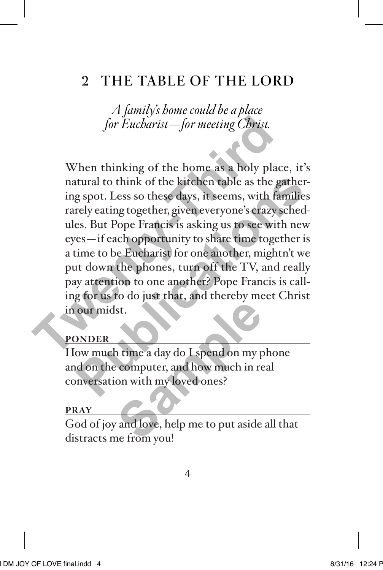# 2 THE TABLE OF THE LORD

*A family's home could be a place for Eucharist—for meeting Christ.*

When thinking of the home as a holy place, it's natural to think of the kitchen table as the gathering spot. Less so these days, it seems, with families rarely eating together, given everyone's crazy schedules. But Pope Francis is asking us to see with new eyes—if each opportunity to share time together is a time to be Eucharist for one another, mightn't we put down the phones, turn off the TV, and really pay attention to one another? Pope Francis is calling for us to do just that, and thereby meet Christ in our midst. for Eucharist—for meeting Christ.<br>When thinking of the home as a holy place<br>natural to think of the kitchen table as the ga<br>ing spot. Less so these days, it seems, with far<br>rarely eating together, given everyone's crazy so tural to think of the kitchen table as the gather-<br>g spot. Less so these days, it seems, with families<br>rely eating together, given everyone's crazy sched-<br>es. But Pope Francis is asking us to see with new<br>es—if each opport

### **PONDER**

How much time a day do I spend on my phone and on the computer, and how much in real conversation with my loved ones? st.<br>
a time a day do I spend on my p<br>
computer, and how much in re<br>
on with my loved ones?<br>
and love, help me to put aside<br>
ne from vou!

#### **PRAY**

God of joy and love, help me to put aside all that distracts me from you!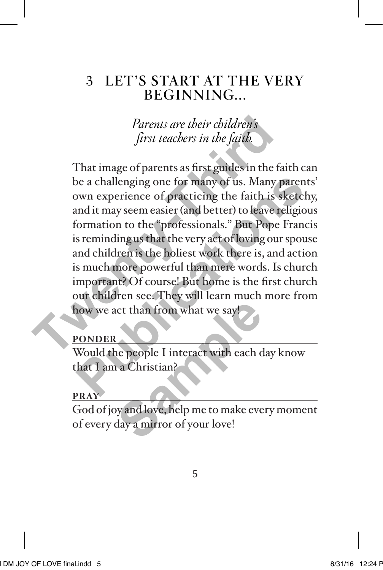# 3 LET'S START AT THE VERY BEGINNING...

*Parents are their children's first teachers in the faith.*

That image of parents as first guides in the faith can be a challenging one for many of us. Many parents' own experience of practicing the faith is sketchy, and it may seem easier (and better) to leave religious formation to the "professionals." But Pope Francis is reminding us that the very act of loving our spouse and children is the holiest work there is, and action is much more powerful than mere words. Is church important? Of course! But home is the first church our children see. They will learn much more from how we act than from what we say! Parents are their children's<br>first teachers in the faith.<br>That image of parents as first guides in the fa<br>be a challenging one for many of us. Many p<br>own experience of practicing the faith is sl<br>and it may seem easier (and be a challenging one for many of us. Many parents<br>
bown experience of practicing the faith is sketchy<br>
and it may seem easier (and better) to leave religious<br>
formation to the "professionals." But Pope Francis<br>
s reminding

### **PONDER**

Would the people I interact with each day know that I am a Christian?

### **PRAY**

God of joy and love, help me to make every moment of every day a mirror of your love! Explorer than from what we say!<br>
He people I interact with each compared to a Christian?<br>
Sample of the property of your love!<br>
Sample of your love!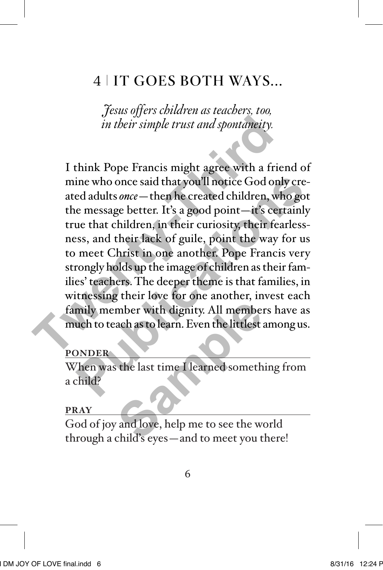## 4 IT GOES BOTH WAYS...

*Jesus offers children as teachers, too, in their simple trust and spontaneity.*

I think Pope Francis might agree with a friend of mine who once said that you'll notice God only created adults *once*—then he created children, who got the message better. It's a good point—it's certainly true that children, in their curiosity, their fearlessness, and their lack of guile, point the way for us to meet Christ in one another. Pope Francis very strongly holds up the image of children as their families' teachers. The deeper theme is that families, in witnessing their love for one another, invest each family member with dignity. All members have as much to teach as to learn. Even the littlest among us. *in their simple trust and spontaneity.*<br>
I think Pope Francis might agree with a friemine who once said that you'll notice God only<br>
ated adults *once* — then he created children, which the message better. It's a good poi ine who once said that you'll notice God only cre-<br>ed adults *once* — then he created children, who got<br>e message better. It's a good point—it's certainly<br>ue that children, in their curiosity, their fearless-<br>sss, and thei mber with dignity. All member<br>ach as to learn. Even the littlest<br>st. the last time I learned someth<br>and love, help me to see the w<br>child's eves—and to meet you t

#### **PONDER**

When was the last time I learned something from a child?

#### **PRAY**

God of joy and love, help me to see the world through a child's eyes—and to meet you there!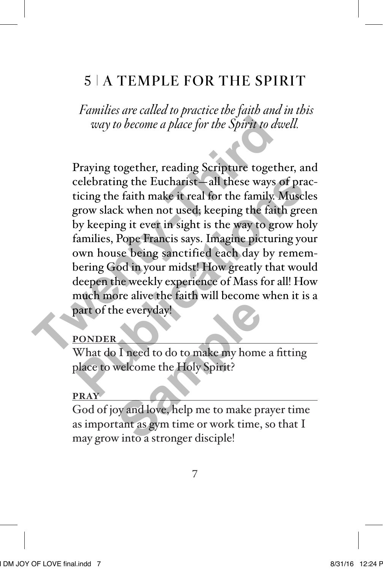# 5 A TEMPLE FOR THE SPIRIT

 *Families are called to practice the faith and in this way to become a place for the Spirit to dwell.*

Praying together, reading Scripture together, and celebrating the Eucharist—all these ways of practicing the faith make it real for the family. Muscles grow slack when not used; keeping the faith green by keeping it ever in sight is the way to grow holy families, Pope Francis says. Imagine picturing your own house being sanctified each day by remembering God in your midst! How greatly that would deepen the weekly experience of Mass for all! How much more alive the faith will become when it is a part of the everyday! way to become a place for the Spirit to dw<br>Praying together, reading Scripture togeth<br>celebrating the Eucharist—all these ways o<br>ticing the faith make it real for the family. M<br>grow slack when not used, keeping the faith<br>b relebrating the Eucharist—all these ways of practicing the faith make it real for the family. Muscles<br>prow slack when not used; keeping the faith green<br>by keeping it ever in sight is the way to grow holy<br>families, Pope Fra

### **PONDER**

What do I need to do to make my home a fitting place to welcome the Holy Spirit?

### **PRAY**

God of joy and love, help me to make prayer time as important as gym time or work time, so that I may grow into a stronger disciple! **Sample 19 and 19 and 19 and 19 and 19 and 19 and 19 and 19 and 19 and 19 and 19 and 19 and 19 and 19 and 19 and 19 and 19 and 19 and 19 and 19 and 19 and 19 and 19 and 19 and 19 and 19 and 19 and 19 and 19 and 19 and 19 a**